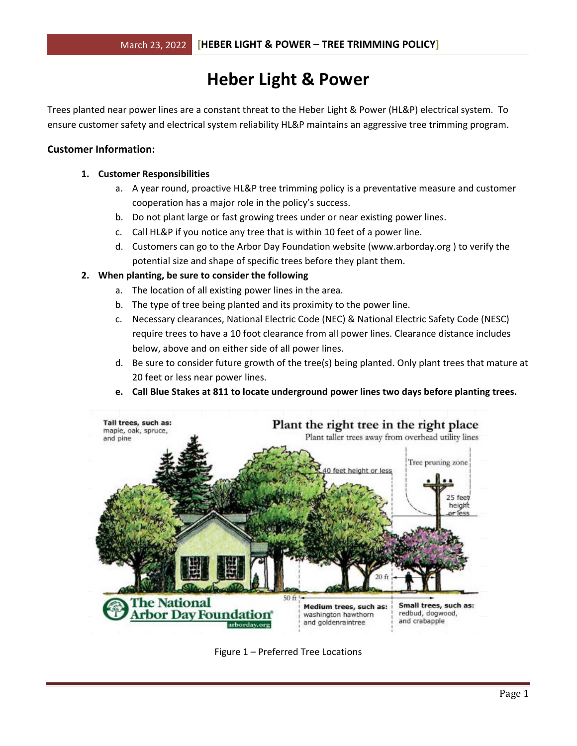# **Heber Light & Power**

Trees planted near power lines are a constant threat to the Heber Light & Power (HL&P) electrical system. To ensure customer safety and electrical system reliability HL&P maintains an aggressive tree trimming program.

## **Customer Information:**

## **1. Customer Responsibilities**

- a. A year round, proactive HL&P tree trimming policy is a preventative measure and customer cooperation has a major role in the policy's success.
- b. Do not plant large or fast growing trees under or near existing power lines.
- c. Call HL&P if you notice any tree that is within 10 feet of a power line.
- d. Customers can go to the Arbor Day Foundation website (www.arborday.org ) to verify the potential size and shape of specific trees before they plant them.

# **2. When planting, be sure to consider the following**

- a. The location of all existing power lines in the area.
- b. The type of tree being planted and its proximity to the power line.
- c. Necessary clearances, National Electric Code (NEC) & National Electric Safety Code (NESC) require trees to have a 10 foot clearance from all power lines. Clearance distance includes below, above and on either side of all power lines.
- d. Be sure to consider future growth of the tree(s) being planted. Only plant trees that mature at 20 feet or less near power lines.



**e. Call Blue Stakes at 811 to locate underground power lines two days before planting trees.**

Figure 1 – Preferred Tree Locations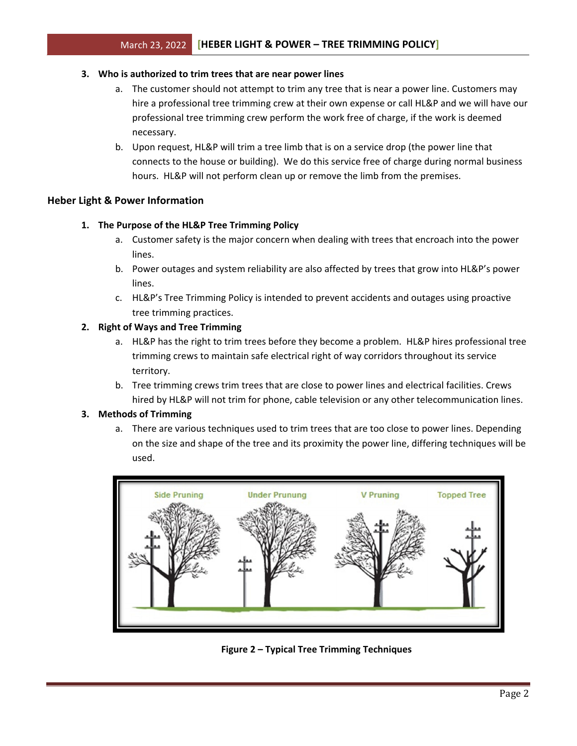## **3. Who is authorized to trim trees that are near power lines**

- a. The customer should not attempt to trim any tree that is near a power line. Customers may hire a professional tree trimming crew at their own expense or call HL&P and we will have our professional tree trimming crew perform the work free of charge, if the work is deemed necessary.
- b. Upon request, HL&P will trim a tree limb that is on a service drop (the power line that connects to the house or building). We do this service free of charge during normal business hours. HL&P will not perform clean up or remove the limb from the premises.

# **Heber Light & Power Information**

# **1. The Purpose of the HL&P Tree Trimming Policy**

- a. Customer safety is the major concern when dealing with trees that encroach into the power lines.
- b. Power outages and system reliability are also affected by trees that grow into HL&P's power lines.
- c. HL&P's Tree Trimming Policy is intended to prevent accidents and outages using proactive tree trimming practices.

# **2. Right of Ways and Tree Trimming**

- a. HL&P has the right to trim trees before they become a problem. HL&P hires professional tree trimming crews to maintain safe electrical right of way corridors throughout its service territory.
- b. Tree trimming crews trim trees that are close to power lines and electrical facilities. Crews hired by HL&P will not trim for phone, cable television or any other telecommunication lines.

# **3. Methods of Trimming**

a. There are various techniques used to trim trees that are too close to power lines. Depending on the size and shape of the tree and its proximity the power line, differing techniques will be used.



**Figure 2 – Typical Tree Trimming Techniques**